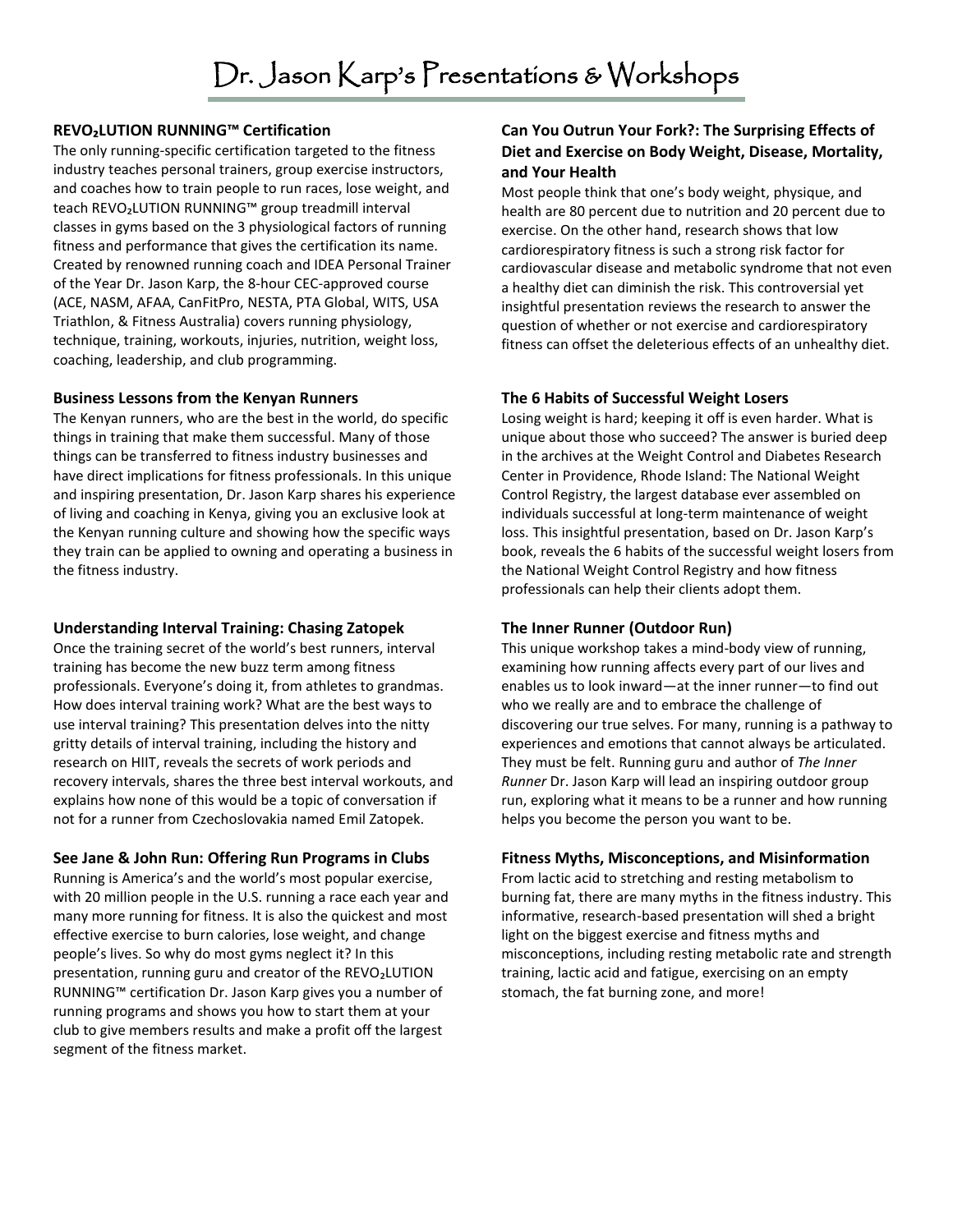## **REVO₂LUTION RUNNING™ Certification**

The only running-specific certification targeted to the fitness industry teaches personal trainers, group exercise instructors, and coaches how to train people to run races, lose weight, and teach REVO₂LUTION RUNNING™ group treadmill interval classes in gyms based on the 3 physiological factors of running fitness and performance that gives the certification its name. Created by renowned running coach and IDEA Personal Trainer of the Year Dr. Jason Karp, the 8-hour CEC-approved course (ACE, NASM, AFAA, CanFitPro, NESTA, PTA Global, WITS, USA Triathlon, & Fitness Australia) covers running physiology, technique, training, workouts, injuries, nutrition, weight loss, coaching, leadership, and club programming.

#### **Business Lessons from the Kenyan Runners**

The Kenyan runners, who are the best in the world, do specific things in training that make them successful. Many of those things can be transferred to fitness industry businesses and have direct implications for fitness professionals. In this unique and inspiring presentation, Dr. Jason Karp shares his experience of living and coaching in Kenya, giving you an exclusive look at the Kenyan running culture and showing how the specific ways they train can be applied to owning and operating a business in the fitness industry.

#### **Understanding Interval Training: Chasing Zatopek**

Once the training secret of the world's best runners, interval training has become the new buzz term among fitness professionals. Everyone's doing it, from athletes to grandmas. How does interval training work? What are the best ways to use interval training? This presentation delves into the nitty gritty details of interval training, including the history and research on HIIT, reveals the secrets of work periods and recovery intervals, shares the three best interval workouts, and explains how none of this would be a topic of conversation if not for a runner from Czechoslovakia named Emil Zatopek.

## **See Jane & John Run: Offering Run Programs in Clubs**

Running is America's and the world's most popular exercise, with 20 million people in the U.S. running a race each year and many more running for fitness. It is also the quickest and most effective exercise to burn calories, lose weight, and change people's lives. So why do most gyms neglect it? In this presentation, running guru and creator of the REVO₂LUTION RUNNING™ certification Dr. Jason Karp gives you a number of running programs and shows you how to start them at your club to give members results and make a profit off the largest segment of the fitness market.

# **Can You Outrun Your Fork?: The Surprising Effects of Diet and Exercise on Body Weight, Disease, Mortality, and Your Health**

Most people think that one's body weight, physique, and health are 80 percent due to nutrition and 20 percent due to exercise. On the other hand, research shows that low cardiorespiratory fitness is such a strong risk factor for cardiovascular disease and metabolic syndrome that not even a healthy diet can diminish the risk. This controversial yet insightful presentation reviews the research to answer the question of whether or not exercise and cardiorespiratory fitness can offset the deleterious effects of an unhealthy diet.

## **The 6 Habits of Successful Weight Losers**

Losing weight is hard; keeping it off is even harder. What is unique about those who succeed? The answer is buried deep in the archives at the Weight Control and Diabetes Research Center in Providence, Rhode Island: The National Weight Control Registry, the largest database ever assembled on individuals successful at long-term maintenance of weight loss. This insightful presentation, based on Dr. Jason Karp's book, reveals the 6 habits of the successful weight losers from the National Weight Control Registry and how fitness professionals can help their clients adopt them.

## **The Inner Runner (Outdoor Run)**

This unique workshop takes a mind-body view of running, examining how running affects every part of our lives and enables us to look inward—at the inner runner—to find out who we really are and to embrace the challenge of discovering our true selves. For many, running is a pathway to experiences and emotions that cannot always be articulated. They must be felt. Running guru and author of *The Inner Runner* Dr. Jason Karp will lead an inspiring outdoor group run, exploring what it means to be a runner and how running helps you become the person you want to be.

## **Fitness Myths, Misconceptions, and Misinformation**

From lactic acid to stretching and resting metabolism to burning fat, there are many myths in the fitness industry. This informative, research-based presentation will shed a bright light on the biggest exercise and fitness myths and misconceptions, including resting metabolic rate and strength training, lactic acid and fatigue, exercising on an empty stomach, the fat burning zone, and more!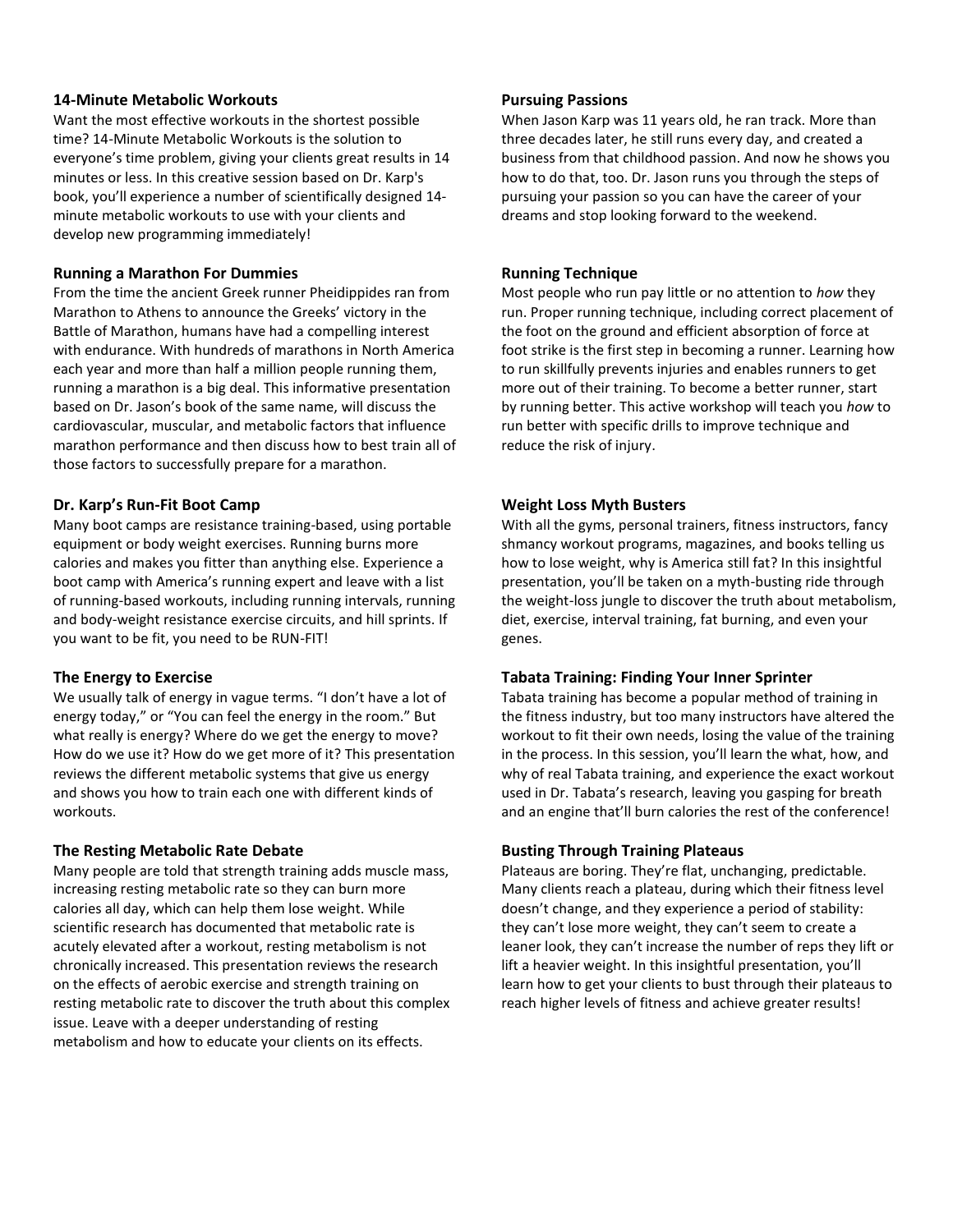#### **14-Minute Metabolic Workouts**

Want the most effective workouts in the shortest possible time? 14-Minute Metabolic Workouts is the solution to everyone's time problem, giving your clients great results in 14 minutes or less. In this creative session based on Dr. Karp's book, you'll experience a number of scientifically designed 14 minute metabolic workouts to use with your clients and develop new programming immediately!

#### **Running a Marathon For Dummies**

From the time the ancient Greek runner Pheidippides ran from Marathon to Athens to announce the Greeks' victory in the Battle of Marathon, humans have had a compelling interest with endurance. With hundreds of marathons in North America each year and more than half a million people running them, running a marathon is a big deal. This informative presentation based on Dr. Jason's book of the same name, will discuss the cardiovascular, muscular, and metabolic factors that influence marathon performance and then discuss how to best train all of those factors to successfully prepare for a marathon.

#### **Dr. Karp's Run-Fit Boot Camp**

Many boot camps are resistance training-based, using portable equipment or body weight exercises. Running burns more calories and makes you fitter than anything else. Experience a boot camp with America's running expert and leave with a list of running-based workouts, including running intervals, running and body-weight resistance exercise circuits, and hill sprints. If you want to be fit, you need to be RUN-FIT!

## **The Energy to Exercise**

We usually talk of energy in vague terms. "I don't have a lot of energy today," or "You can feel the energy in the room." But what really is energy? Where do we get the energy to move? How do we use it? How do we get more of it? This presentation reviews the different metabolic systems that give us energy and shows you how to train each one with different kinds of workouts.

## **The Resting Metabolic Rate Debate**

Many people are told that strength training adds muscle mass, increasing resting metabolic rate so they can burn more calories all day, which can help them lose weight. While scientific research has documented that metabolic rate is acutely elevated after a workout, resting metabolism is not chronically increased. This presentation reviews the research on the effects of aerobic exercise and strength training on resting metabolic rate to discover the truth about this complex issue. Leave with a deeper understanding of resting metabolism and how to educate your clients on its effects.

#### **Pursuing Passions**

When Jason Karp was 11 years old, he ran track. More than three decades later, he still runs every day, and created a business from that childhood passion. And now he shows you how to do that, too. Dr. Jason runs you through the steps of pursuing your passion so you can have the career of your dreams and stop looking forward to the weekend.

## **Running Technique**

Most people who run pay little or no attention to *how* they run. Proper running technique, including correct placement of the foot on the ground and efficient absorption of force at foot strike is the first step in becoming a runner. Learning how to run skillfully prevents injuries and enables runners to get more out of their training. To become a better runner, start by running better. This active workshop will teach you *how* to run better with specific drills to improve technique and reduce the risk of injury.

## **Weight Loss Myth Busters**

With all the gyms, personal trainers, fitness instructors, fancy shmancy workout programs, magazines, and books telling us how to lose weight, why is America still fat? In this insightful presentation, you'll be taken on a myth-busting ride through the weight-loss jungle to discover the truth about metabolism, diet, exercise, interval training, fat burning, and even your genes.

## **Tabata Training: Finding Your Inner Sprinter**

Tabata training has become a popular method of training in the fitness industry, but too many instructors have altered the workout to fit their own needs, losing the value of the training in the process. In this session, you'll learn the what, how, and why of real Tabata training, and experience the exact workout used in Dr. Tabata's research, leaving you gasping for breath and an engine that'll burn calories the rest of the conference!

## **Busting Through Training Plateaus**

Plateaus are boring. They're flat, unchanging, predictable. Many clients reach a plateau, during which their fitness level doesn't change, and they experience a period of stability: they can't lose more weight, they can't seem to create a leaner look, they can't increase the number of reps they lift or lift a heavier weight. In this insightful presentation, you'll learn how to get your clients to bust through their plateaus to reach higher levels of fitness and achieve greater results!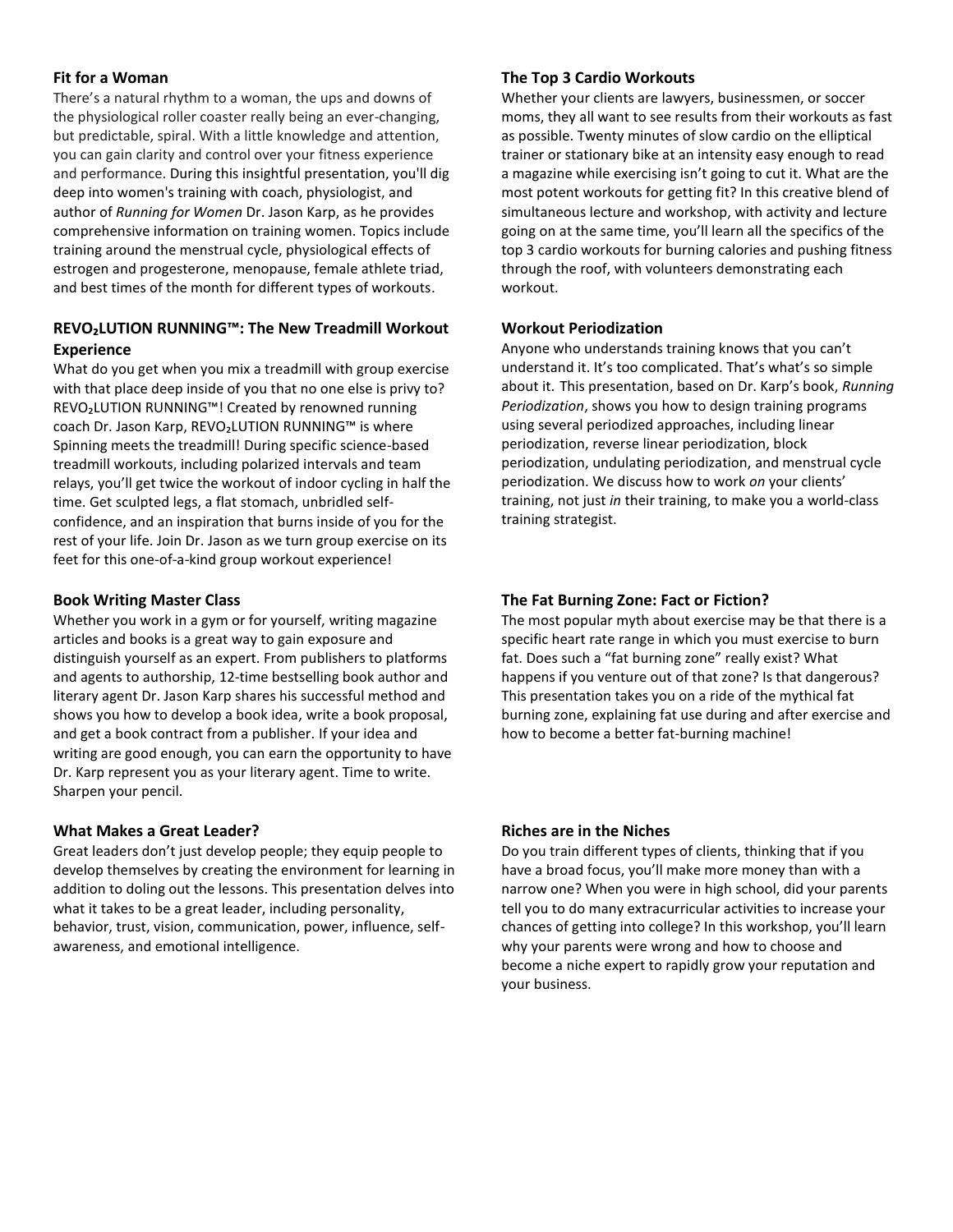#### **Fit for a Woman**

There's a natural rhythm to a woman, the ups and downs of the physiological roller coaster really being an ever-changing, but predictable, spiral. With a little knowledge and attention, you can gain clarity and control over your fitness experience and performance. During this insightful presentation, you'll dig deep into women's training with coach, physiologist, and author of *Running for Women* Dr. Jason Karp, as he provides comprehensive information on training women. Topics include training around the menstrual cycle, physiological effects of estrogen and progesterone, menopause, female athlete triad, and best times of the month for different types of workouts.

# **REVO₂LUTION RUNNING™: The New Treadmill Workout Experience**

What do you get when you mix a treadmill with group exercise with that place deep inside of you that no one else is privy to? REVO₂LUTION RUNNING™! Created by renowned running coach Dr. Jason Karp, REVO₂LUTION RUNNING™ is where Spinning meets the treadmill! During specific science-based treadmill workouts, including polarized intervals and team relays, you'll get twice the workout of indoor cycling in half the time. Get sculpted legs, a flat stomach, unbridled selfconfidence, and an inspiration that burns inside of you for the rest of your life. Join Dr. Jason as we turn group exercise on its feet for this one-of-a-kind group workout experience!

#### **Book Writing Master Class**

Whether you work in a gym or for yourself, writing magazine articles and books is a great way to gain exposure and distinguish yourself as an expert. From publishers to platforms and agents to authorship, 12-time bestselling book author and literary agent Dr. Jason Karp shares his successful method and shows you how to develop a book idea, write a book proposal, and get a book contract from a publisher. If your idea and writing are good enough, you can earn the opportunity to have Dr. Karp represent you as your literary agent. Time to write. Sharpen your pencil.

## **What Makes a Great Leader?**

Great leaders don't just develop people; they equip people to develop themselves by creating the environment for learning in addition to doling out the lessons. This presentation delves into what it takes to be a great leader, including personality, behavior, trust, vision, communication, power, influence, selfawareness, and emotional intelligence.

#### **The Top 3 Cardio Workouts**

Whether your clients are lawyers, businessmen, or soccer moms, they all want to see results from their workouts as fast as possible. Twenty minutes of slow cardio on the elliptical trainer or stationary bike at an intensity easy enough to read a magazine while exercising isn't going to cut it. What are the most potent workouts for getting fit? In this creative blend of simultaneous lecture and workshop, with activity and lecture going on at the same time, you'll learn all the specifics of the top 3 cardio workouts for burning calories and pushing fitness through the roof, with volunteers demonstrating each workout.

#### **Workout Periodization**

Anyone who understands training knows that you can't understand it. It's too complicated. That's what's so simple about it. This presentation, based on Dr. Karp's book, *Running Periodization*, shows you how to design training programs using several periodized approaches, including linear periodization, reverse linear periodization, block periodization, undulating periodization, and menstrual cycle periodization. We discuss how to work *on* your clients' training, not just *in* their training, to make you a world-class training strategist.

## **The Fat Burning Zone: Fact or Fiction?**

The most popular myth about exercise may be that there is a specific heart rate range in which you must exercise to burn fat. Does such a "fat burning zone" really exist? What happens if you venture out of that zone? Is that dangerous? This presentation takes you on a ride of the mythical fat burning zone, explaining fat use during and after exercise and how to become a better fat-burning machine!

## **Riches are in the Niches**

Do you train different types of clients, thinking that if you have a broad focus, you'll make more money than with a narrow one? When you were in high school, did your parents tell you to do many extracurricular activities to increase your chances of getting into college? In this workshop, you'll learn why your parents were wrong and how to choose and become a niche expert to rapidly grow your reputation and your business.